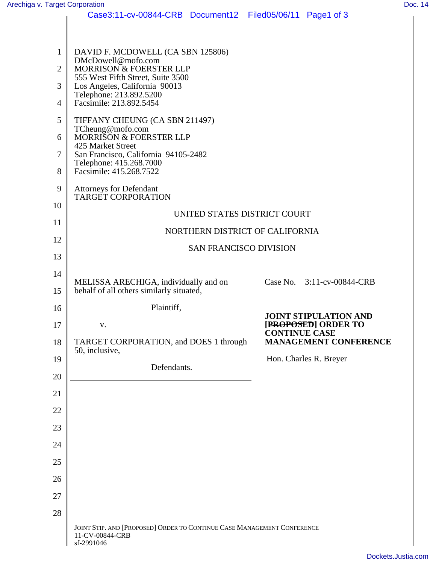| Arechiga v. Target Corporation |                                                                                               |                                      | Doc. 14 |
|--------------------------------|-----------------------------------------------------------------------------------------------|--------------------------------------|---------|
|                                | Case3:11-cv-00844-CRB Document12 Filed05/06/11 Page1 of 3                                     |                                      |         |
|                                |                                                                                               |                                      |         |
|                                |                                                                                               |                                      |         |
|                                | DAVID F. MCDOWELL (CA SBN 125806)<br>DMcDowell@mofo.com                                       |                                      |         |
|                                | MORRISON & FOERSTER LLP                                                                       |                                      |         |
|                                | 555 West Fifth Street, Suite 3500                                                             |                                      |         |
|                                |                                                                                               |                                      |         |
|                                | 3<br>Los Angeles, California 90013<br>Telephone: 213.892.5200<br>4<br>Facsimile: 213.892.5454 |                                      |         |
|                                |                                                                                               |                                      |         |
|                                | TIFFANY CHEUNG (CA SBN 211497)                                                                |                                      |         |
|                                | 6 TCheung@mofo.com<br>6 MORRISON & FOERSTER LLP                                               |                                      |         |
|                                | 425 Market Street                                                                             |                                      |         |
|                                | San Francisco, California 94105-2482                                                          |                                      |         |
|                                | Telephone: 415.268.7000<br>8 Facsimile: 415.268.7522                                          |                                      |         |
|                                |                                                                                               |                                      |         |
|                                | <b>Attorneys for Defendant<br/>TARGET CORPORATION</b>                                         |                                      |         |
| 10                             |                                                                                               |                                      |         |
|                                | UNITED STATES DISTRICT COURT                                                                  |                                      |         |
| 11                             |                                                                                               |                                      |         |
| 12                             | NORTHERN DISTRICT OF CALIFORNIA                                                               |                                      |         |
|                                | SAN FRANCISCO DIVISION                                                                        |                                      |         |
| 13                             |                                                                                               |                                      |         |
| 14                             |                                                                                               |                                      |         |
|                                | MELISSA ARECHIGA, individually and on<br>15 behalf of all others similarly situated,          | Case No. 3:11-cv-00844-CRB           |         |
|                                |                                                                                               |                                      |         |
|                                | Plaintiff,                                                                                    |                                      |         |
|                                |                                                                                               | JOINT STIPULATION AND                |         |
| 17                             | $\mathbf{V}$                                                                                  | [PROPOSED] ORDER TO<br>CONTINUE CASE |         |
|                                | 18 TARGET CORPORATION, and DOES 1 through                                                     | <b>MANAGEMENT CONFERENCE</b>         |         |
|                                | 50, inclusive,                                                                                |                                      |         |
| 19                             |                                                                                               | Hon. Charles R. Breyer               |         |
| 20                             | Defendants.                                                                                   |                                      |         |
|                                |                                                                                               |                                      |         |
| 21                             |                                                                                               |                                      |         |
| 22                             |                                                                                               |                                      |         |
|                                |                                                                                               |                                      |         |
| 23                             |                                                                                               |                                      |         |
| 24                             |                                                                                               |                                      |         |
|                                |                                                                                               |                                      |         |
| 25                             |                                                                                               |                                      |         |
| 26                             |                                                                                               |                                      |         |
|                                |                                                                                               |                                      |         |
| 27                             |                                                                                               |                                      |         |
| 28                             |                                                                                               |                                      |         |
|                                |                                                                                               |                                      |         |
|                                | JOINT STIP. AND [PROPOSED] ORDER TO CONTINUE CASE MANAGEMENT CONFERENCE                       |                                      |         |
|                                | 11-CV-00844-CRB<br>sf-2991046                                                                 |                                      |         |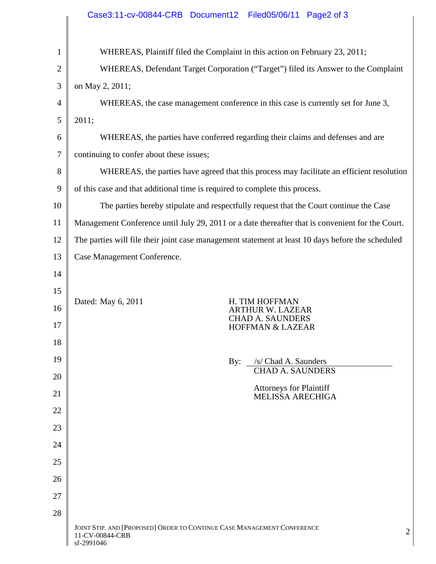|                 | Case3:11-cv-00844-CRB Document12 Filed05/06/11 Page2 of 3                                                |
|-----------------|----------------------------------------------------------------------------------------------------------|
|                 | WHEREAS, Plaintiff filed the Complaint in this action on February 23, 2011;                              |
|                 | WHEREAS, Defendant Target Corporation ("Target") filed its Answer to the Complaint                       |
|                 | on May 2, 2011;                                                                                          |
|                 | WHEREAS, the case management conference in this case is currently set for June 3,                        |
|                 | $5 \mid 2011;$                                                                                           |
|                 | WHEREAS, the parties have conferred regarding their claims and defenses and are                          |
|                 | continuing to confer about these issues;                                                                 |
|                 | WHEREAS, the parties have agreed that this process may facilitate an efficient resolution                |
|                 | 9 $\parallel$ of this case and that additional time is required to complete this process.                |
| 10 <sup>1</sup> | The parties hereby stipulate and respectfully request that the Court continue the Case                   |
|                 | 11   Management Conference until July 29, 2011 or a date thereafter that is convenient for the Court.    |
|                 | 12 The parties will file their joint case management statement at least 10 days before the scheduled     |
|                 | 13   Case Management Conference.                                                                         |
| 14              |                                                                                                          |
| 15              |                                                                                                          |
| 16              | H. TIM HOFFMAN<br>Dated: May 6, 2011<br>ARTHUR W. LAZEAR<br><b>CHAD A. SAUNDERS</b>                      |
| 17              | HOFFMAN & LAZEAR                                                                                         |
| 18              |                                                                                                          |
| 19              | By: /s/ Chad A. Saunders                                                                                 |
| 20              | <b>CHAD A. SAUNDERS</b>                                                                                  |
| 21              | Attorneys for Plaintiff<br>MELISSA ARECHIGA                                                              |
| 22              |                                                                                                          |
| 23              |                                                                                                          |
| 24              |                                                                                                          |
| 25              |                                                                                                          |
| 26              |                                                                                                          |
| $27\,$          |                                                                                                          |
| 28              |                                                                                                          |
|                 | JOINT STIP. AND [PROPOSED] ORDER TO CONTINUE CASE MANAGEMENT CONFERENCE<br>11-CV-00844-CRB<br>sf-2991046 |